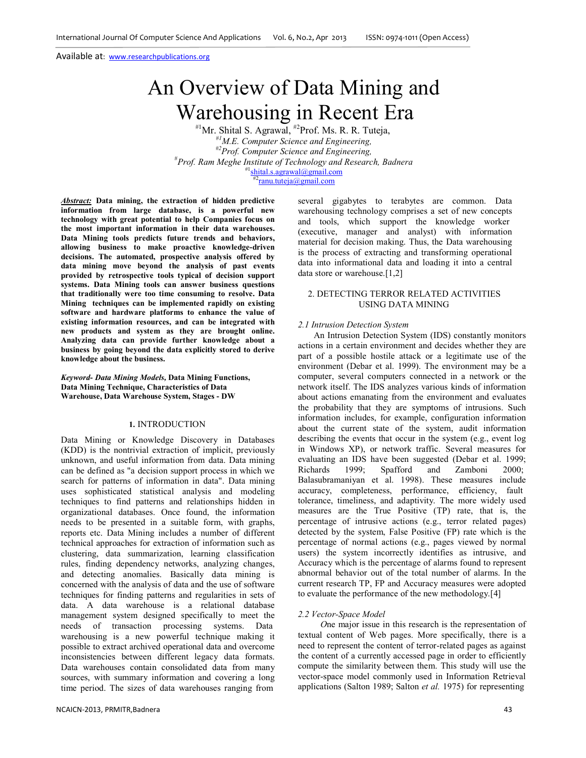# An Overview of Data Mining and Warehousing in Recent Era

#1Mr. Shital S. Agrawal, #2Prof. Ms. R. R. Tuteja, #*<sup>1</sup>M.E. Computer Science and Engineering, #2Prof. Computer Science and Engineering,* # *Prof. Ram Meghe Institute of Technology and Research, Badnera*  $shital.s. a graval@gmail.com$ #2<sub>ranu.tuteja@gmail.com</sub>

*Abstract:* **Data mining, the extraction of hidden predictive information from large database, is a powerful new technology with great potential to help Companies focus on the most important information in their data warehouses. Data Mining tools predicts future trends and behaviors, allowing business to make proactive knowledge-driven decisions. The automated, prospective analysis offered by data mining move beyond the analysis of past events provided by retrospective tools typical of decision support systems. Data Mining tools can answer business questions that traditionally were too time consuming to resolve. Data Mining techniques can be implemented rapidly on existing software and hardware platforms to enhance the value of existing information resources, and can be integrated with new products and system as they are brought online. Analyzing data can provide further knowledge about a business by going beyond the data explicitly stored to derive knowledge about the business.**

*Keyword***-** *Data Mining Models,* **Data Mining Functions, Data Mining Technique, Characteristics of Data Warehouse, Data Warehouse System, Stages - DW**

#### **1.** INTRODUCTION

Data Mining or Knowledge Discovery in Databases (KDD) is the nontrivial extraction of implicit, previously unknown, and useful information from data. Data mining can be defined as "a decision support process in which we search for patterns of information in data". Data mining uses sophisticated statistical analysis and modeling techniques to find patterns and relationships hidden in organizational databases. Once found, the information needs to be presented in a suitable form, with graphs, reports etc. Data Mining includes a number of different technical approaches for extraction of information such as clustering, data summarization, learning classification rules, finding dependency networks, analyzing changes, and detecting anomalies. Basically data mining is concerned with the analysis of data and the use of software techniques for finding patterns and regularities in sets of data. A data warehouse is a relational database management system designed specifically to meet the needs of transaction processing systems. Data warehousing is a new powerful technique making it possible to extract archived operational data and overcome inconsistencies between different legacy data formats. Data warehouses contain consolidated data from many sources, with summary information and covering a long time period. The sizes of data warehouses ranging from

several gigabytes to terabytes are common. Data warehousing technology comprises a set of new concepts and tools, which support the knowledge worker (executive, manager and analyst) with information material for decision making. Thus, the Data warehousing is the process of extracting and transforming operational data into informational data and loading it into a central data store or warehouse.[1,2]

# 2. DETECTING TERROR RELATED ACTIVITIES USING DATA MINING

#### *2.1 Intrusion Detection System*

An Intrusion Detection System (IDS) constantly monitors actions in a certain environment and decides whether they are part of a possible hostile attack or a legitimate use of the environment (Debar et al. 1999). The environment may be a computer, several computers connected in a network or the network itself. The IDS analyzes various kinds of information about actions emanating from the environment and evaluates the probability that they are symptoms of intrusions. Such information includes, for example, configuration information about the current state of the system, audit information describing the events that occur in the system (e.g., event log in Windows XP), or network traffic. Several measures for evaluating an IDS have been suggested (Debar et al. 1999; Richards 1999; Spafford and Zamboni 2000; Balasubramaniyan et al. 1998). These measures include accuracy, completeness, performance, efficiency, fault tolerance, timeliness, and adaptivity. The more widely used measures are the True Positive (TP) rate, that is, the percentage of intrusive actions (e.g., terror related pages) detected by the system, False Positive (FP) rate which is the percentage of normal actions (e.g., pages viewed by normal users) the system incorrectly identifies as intrusive, and Accuracy which is the percentage of alarms found to represent abnormal behavior out of the total number of alarms. In the current research TP, FP and Accuracy measures were adopted to evaluate the performance of the new methodology.[4]

#### *2.2 Vector-Space Model*

*O*ne major issue in this research is the representation of textual content of Web pages. More specifically, there is a need to represent the content of terror-related pages as against the content of a currently accessed page in order to efficiently compute the similarity between them. This study will use the vector-space model commonly used in Information Retrieval applications (Salton 1989; Salton *et al.* 1975) for representing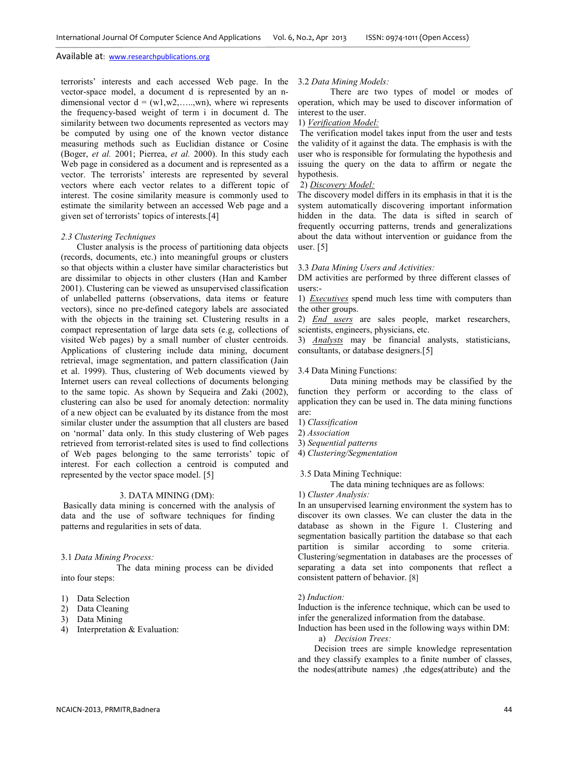terrorists' interests and each accessed Web page. In the vector-space model, a document d is represented by an ndimensional vector  $d = (w1, w2, \ldots, wn)$ , where wi represents the frequency-based weight of term i in document d. The similarity between two documents represented as vectors may be computed by using one of the known vector distance measuring methods such as Euclidian distance or Cosine (Boger, *et al.* 2001; Pierrea, *et al.* 2000). In this study each Web page in considered as a document and is represented as a vector. The terrorists' interests are represented by several vectors where each vector relates to a different topic of interest. The cosine similarity measure is commonly used to estimate the similarity between an accessed Web page and a given set of terrorists' topics of interests.[4]

## *2.3 Clustering Techniques*

Cluster analysis is the process of partitioning data objects (records, documents, etc.) into meaningful groups or clusters so that objects within a cluster have similar characteristics but are dissimilar to objects in other clusters (Han and Kamber 2001). Clustering can be viewed as unsupervised classification of unlabelled patterns (observations, data items or feature vectors), since no pre-defined category labels are associated with the objects in the training set. Clustering results in a compact representation of large data sets (e.g, collections of visited Web pages) by a small number of cluster centroids. Applications of clustering include data mining, document retrieval, image segmentation, and pattern classification (Jain et al. 1999). Thus, clustering of Web documents viewed by Internet users can reveal collections of documents belonging to the same topic. As shown by Sequeira and Zaki (2002), clustering can also be used for anomaly detection: normality of a new object can be evaluated by its distance from the most similar cluster under the assumption that all clusters are based on 'normal' data only. In this study clustering of Web pages retrieved from terrorist-related sites is used to find collections of Web pages belonging to the same terrorists' topic of interest. For each collection a centroid is computed and represented by the vector space model. [5]

## 3. DATA MINING (DM):

Basically data mining is concerned with the analysis of data and the use of software techniques for finding patterns and regularities in sets of data.

#### 3.1 *Data Mining Process:*

The data mining process can be divided into four steps:

- 1) Data Selection
- 2) Data Cleaning
- 3) Data Mining
- 4) Interpretation & Evaluation:

#### 3.2 *Data Mining Models:*

There are two types of model or modes of operation, which may be used to discover information of interest to the user.

## 1) *Verification Model:*

The verification model takes input from the user and tests the validity of it against the data. The emphasis is with the user who is responsible for formulating the hypothesis and issuing the query on the data to affirm or negate the hypothesis.

# 2) *Discovery Model:*

The discovery model differs in its emphasis in that it is the system automatically discovering important information hidden in the data. The data is sifted in search of frequently occurring patterns, trends and generalizations about the data without intervention or guidance from the user. [5]

#### 3.3 *Data Mining Users and Activities:*

DM activities are performed by three different classes of users:-

1) *Executives* spend much less time with computers than the other groups.

2) *End users* are sales people, market researchers, scientists, engineers, physicians, etc.

3) *Analysts* may be financial analysts, statisticians, consultants, or database designers.[5]

#### 3.4 Data Mining Functions:

Data mining methods may be classified by the function they perform or according to the class of application they can be used in. The data mining functions are:

- 1) *Classification*
- 2) *Association*
- 3) *Sequential patterns*
- 4) *Clustering/Segmentation*

## 3.5 Data Mining Technique:

The data mining techniques are as follows:

1) *Cluster Analysis:*

In an unsupervised learning environment the system has to discover its own classes. We can cluster the data in the database as shown in the Figure 1. Clustering and segmentation basically partition the database so that each partition is similar according to some criteria. Clustering/segmentation in databases are the processes of separating a data set into components that reflect a consistent pattern of behavior. [8]

#### 2) *Induction:*

Induction is the inference technique, which can be used to infer the generalized information from the database.

Induction has been used in the following ways within DM:

a) *Decision Trees:*

Decision trees are simple knowledge representation and they classify examples to a finite number of classes, the nodes(attribute names) ,the edges(attribute) and the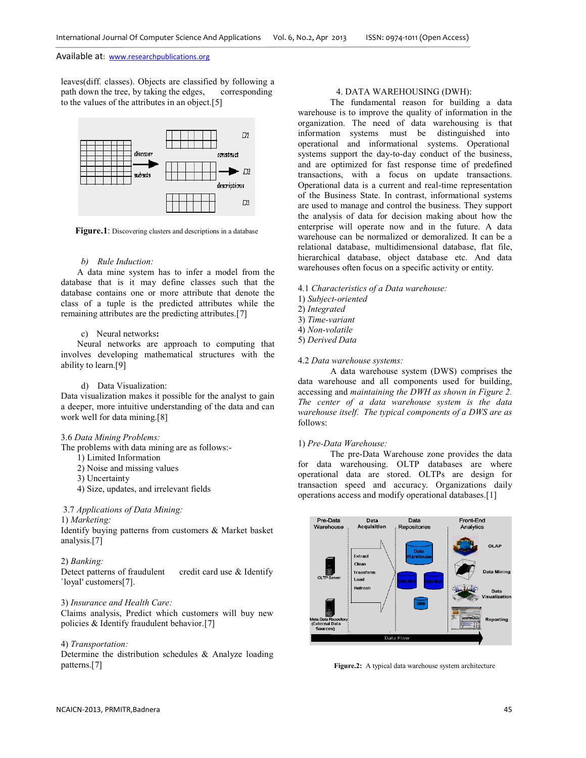leaves(diff. classes). Objects are classified by following a path down the tree, by taking the edges, corresponding to the values of the attributes in an object.[5]



**Figure.1**: Discovering clusters and descriptions in a database

#### *b) Rule Induction:*

A data mine system has to infer a model from the database that is it may define classes such that the database contains one or more attribute that denote the class of a tuple is the predicted attributes while the remaining attributes are the predicting attributes.[7]

# c) Neural networks**:**

Neural networks are approach to computing that involves developing mathematical structures with the ability to learn.[9]

## d) Data Visualization:

Data visualization makes it possible for the analyst to gain a deeper, more intuitive understanding of the data and can work well for data mining.[8]

## 3.6 *Data Mining Problems:*

The problems with data mining are as follows:-

- 1) Limited Information
- 2) Noise and missing values
- 3) Uncertainty
- 4) Size, updates, and irrelevant fields

# 3.7 *Applications of Data Mining:*

1) *Marketing:*

Identify buying patterns from customers & Market basket analysis.[7]

#### 2) *Banking:*

Detect patterns of fraudulent credit card use & Identify `loyal' customers[7].

## 3) *Insurance and Health Care:*

Claims analysis, Predict which customers will buy new policies & Identify fraudulent behavior.[7]

## 4) *Transportation:*

Determine the distribution schedules & Analyze loading patterns.[7]

# 4. DATA WAREHOUSING (DWH):

The fundamental reason for building a data warehouse is to improve the quality of information in the organization. The need of data warehousing is that information systems must be distinguished into operational and informational systems. Operational systems support the day-to-day conduct of the business, and are optimized for fast response time of predefined transactions, with a focus on update transactions. Operational data is a current and real-time representation of the Business State. In contrast, informational systems are used to manage and control the business. They support the analysis of data for decision making about how the enterprise will operate now and in the future. A data warehouse can be normalized or demoralized. It can be a relational database, multidimensional database, flat file, hierarchical database, object database etc. And data warehouses often focus on a specific activity or entity.

- 4.1 *Characteristics of a Data warehouse:*
- 1) *Subject-oriented*
- 2) *Integrated*
- 3) *Time-variant*
- 4) *Non-volatile*
- 5) *Derived Data*

#### 4.2 *Data warehouse systems:*

A data warehouse system (DWS) comprises the data warehouse and all components used for building, accessing and *maintaining the DWH as shown in Figure 2. The center of a data warehouse system is the data warehouse itself. The typical components of a DWS are as*  follows:

## 1) *Pre-Data Warehouse:*

The pre-Data Warehouse zone provides the data for data warehousing. OLTP databases are where operational data are stored. OLTPs are design for transaction speed and accuracy. Organizations daily operations access and modify operational databases.[1]



**Figure.2:** A typical data warehouse system architecture